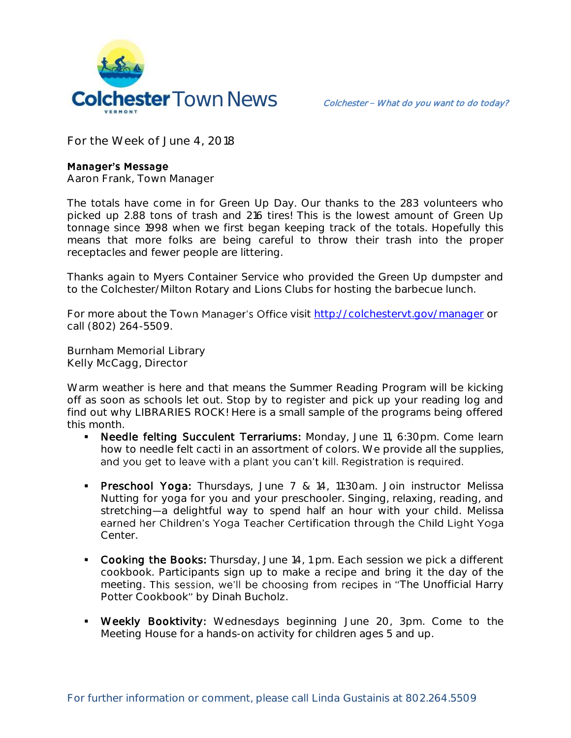

**For the Week of June 4, 2018**

## **Manager's Message**

**Aaron Frank, Town Manager**

The totals have come in for Green Up Day. Our thanks to the 283 volunteers who picked up 2.88 tons of trash and 216 tires! This is the lowest amount of Green Up tonnage since 1998 when we first began keeping track of the totals. Hopefully this means that more folks are being careful to throw their trash into the proper receptacles and fewer people are littering.

Thanks again to Myers Container Service who provided the Green Up dumpster and to the Colchester/Milton Rotary and Lions Clubs for hosting the barbecue lunch.

For more about the Town Manager's Office visit<http://colchestervt.gov/manager> or call (802) 264-5509.

**Burnham Memorial Library Kelly McCagg, Director**

Warm weather is here and that means the Summer Reading Program will be kicking off as soon as schools let out. Stop by to register and pick up your reading log and find out why LIBRARIES ROCK! Here is a small sample of the programs being offered this month.

- Needle felting Succulent Terrariums: Monday, June 11, 6:30pm. Come learn how to needle felt cacti in an assortment of colors. We provide all the supplies, and you get to leave with a plant you can't kill. Registration is required.
- **Preschool Yoga:** Thursdays, June 7 & 14, 11:30am. Join instructor Melissa Nutting for yoga for you and your preschooler. Singing, relaxing, reading, and stretching—a delightful way to spend half an hour with your child. Melissa earned her Children's Yoga Teacher Certification through the Child Light Yoga Center.
- Cooking the Books: Thursday, June 14, 1 pm. Each session we pick a different cookbook. Participants sign up to make a recipe and bring it the day of the meeting. This session, we'll be choosing from recipes in "The Unofficial Harry Potter Cookbook" by Dinah Bucholz.
- Weekly Booktivity: Wednesdays beginning June 20, 3pm. Come to the Meeting House for a hands-on activity for children ages 5 and up.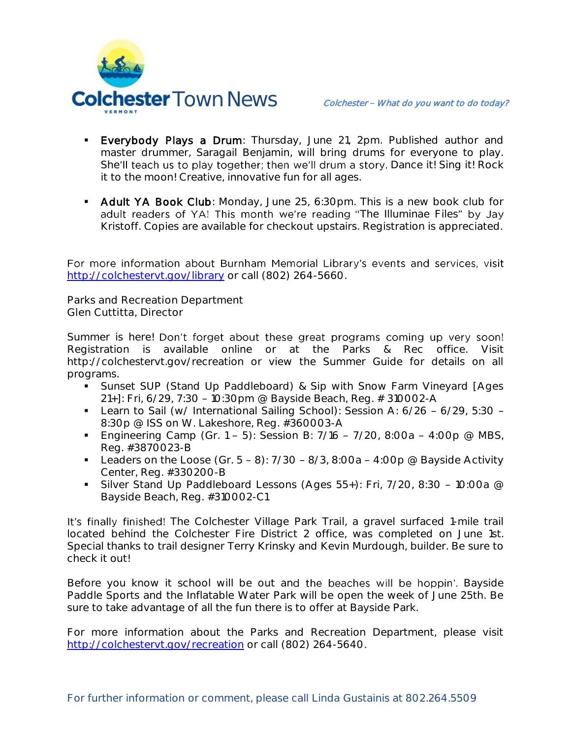

- **Everybody Plays a Drum**: Thursday, June 21, 2pm. Published author and master drummer, Saragail Benjamin, will bring drums for everyone to play. She'll teach us to play together; then we'll drum a story. Dance it! Sing it! Rock it to the moon! Creative, innovative fun for all ages.
- **Adult YA Book Club**: Monday, June 25, 6:30pm. This is a new book club for adult readers of YA! This month we're reading "The Illuminae Files" by Jay Kristoff. Copies are available for checkout upstairs. Registration is appreciated.

For more information about Burnham Memorial Library's events and services, visit <http://colchestervt.gov/library> or call (802) 264-5660.

**Parks and Recreation Department Glen Cuttitta, Director**

Summer is here! Don't forget about these great programs coming up very soon! Registration is available online or at the Parks & Rec office. Visit http://colchestervt.gov/recreation or view the Summer Guide for details on all programs.

- Sunset SUP (Stand Up Paddleboard) & Sip with Snow Farm Vineyard [Ages 21+]: Fri, 6/29, 7:30 - 10:30pm @ Bayside Beach, Reg. # 310002-A
- Learn to Sail (w/ International Sailing School): Session A:  $6/26 6/29$ , 5:30 -8:30p @ ISS on W. Lakeshore, Reg. #360003-A
- **Engineering Camp (Gr. 1 5): Session B: 7/16 7/20, 8:00a 4:00p @ MBS,** Reg. #3870023-B
- Leaders on the Loose (Gr.  $5 8$ ):  $7/30 8/3$ , 8:00a 4:00p @ Bayside Activity Center, Reg. #330200-B
- Silver Stand Up Paddleboard Lessons (Ages  $55+$ ): Fri,  $7/20$ , 8:30 10:00a @ Bayside Beach, Reg. #310002-C1

It's finally finished! The Colchester Village Park Trail, a gravel surfaced 1-mile trail located behind the Colchester Fire District 2 office, was completed on June 1st. Special thanks to trail designer Terry Krinsky and Kevin Murdough, builder. Be sure to check it out!

Before you know it school will be out and the beaches will be hoppin'. Bayside Paddle Sports and the Inflatable Water Park will be open the week of June 25th. Be sure to take advantage of all the fun there is to offer at Bayside Park.

For more information about the Parks and Recreation Department, please visit [http://colchestervt.gov/recreation](http://colchestervt.gov/Recreation/parksNRec.shtml) or call (802) 264-5640.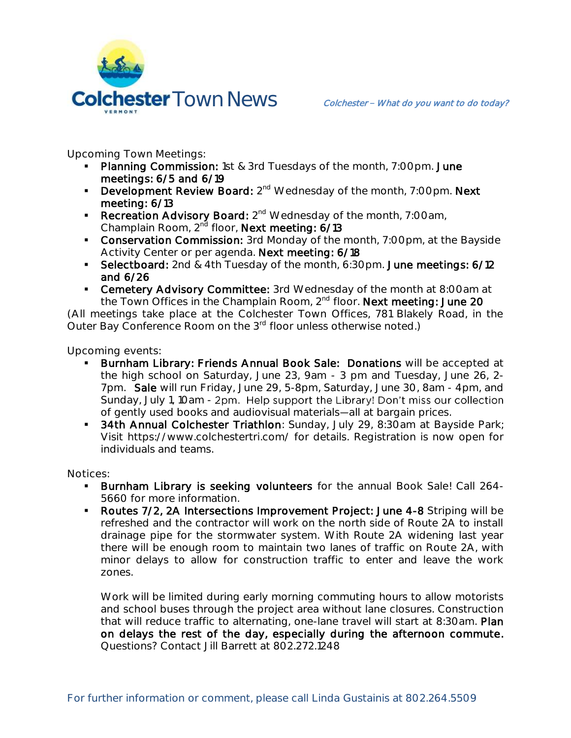

**Upcoming Town Meetings:**

- Planning Commission: 1st & 3rd Tuesdays of the month, 7:00pm. June meetings: 6/5 and 6/19
- **Development Review Board:**  $2^{nd}$  Wednesday of the month, 7:00pm. Next meeting: 6/13
- Recreation Advisory Board: 2<sup>nd</sup> Wednesday of the month, 7:00am, Champlain Room, 2<sup>nd</sup> floor, Next meeting: 6/13
- **Conservation Commission:** 3rd Monday of the month, 7:00pm, at the Bayside Activity Center or per agenda. Next meeting: 6/18
- Selectboard: 2nd & 4th Tuesday of the month, 6:30pm. June meetings: 6/12 and 6/26
- **Cemetery Advisory Committee:** 3rd Wednesday of the month at 8:00am at the Town Offices in the Champlain Room, 2<sup>nd</sup> floor. Next meeting: June 20

(All meetings take place at the Colchester Town Offices, 781 Blakely Road, in the Outer Bay Conference Room on the 3<sup>rd</sup> floor unless otherwise noted.)

**Upcoming events:** 

- Burnham Library: Friends Annual Book Sale: Donations will be accepted at the high school on Saturday, June 23, 9am - 3 pm and Tuesday, June 26, 2- 7pm. Sale will run Friday, June 29, 5-8pm, Saturday, June 30, 8am - 4pm, and Sunday, July 1, 10am - 2pm. Help support the Library! Don't miss our collection of gently used books and audiovisual materials—all at bargain prices.
- **34th Annual Colchester Triathlon**: Sunday, July 29, 8:30am at Bayside Park; Visit https://www.colchestertri.com/ for details. Registration is now open for individuals and teams.

**Notices:**

- **Burnham Library is seeking volunteers** for the annual Book Sale! Call 264-5660 for more information.
- Routes 7/2, 2A Intersections Improvement Project: June 4-8 Striping will be refreshed and the contractor will work on the north side of Route 2A to install drainage pipe for the stormwater system. With Route 2A widening last year there will be enough room to maintain two lanes of traffic on Route 2A, with minor delays to allow for construction traffic to enter and leave the work zones.

Work will be limited during early morning commuting hours to allow motorists and school buses through the project area without lane closures. Construction that will reduce traffic to alternating, one-lane travel will start at 8:30am. Plan on delays the rest of the day, especially during the afternoon commute. Questions? Contact Jill Barrett at 802.272.1248